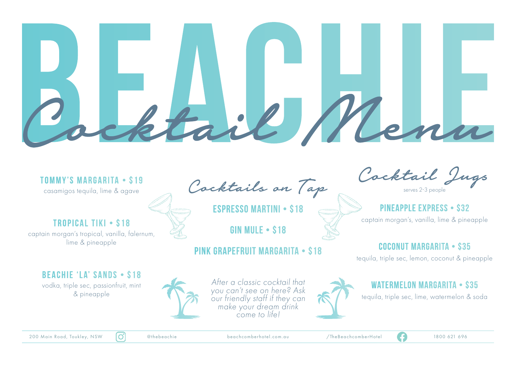#### **Tommy's Margarita • \$19**

casamigos tequila, lime & agave

## **Tropical Tiki • \$18**

captain morgan's tropical, vanilla, falernum, lime & pineapple

Cocktails on Tap

**Espresso Martini • \$18**

**Gin Mule • \$18**

### **Pink Grapefruit Margarita • \$18**

Cocktail Jugs

serves 2-3 people

**PINEAPPLE EXPRESS • \$32** captain morgan's, vanilla, lime & pineapple

# **Coconut Margarita • \$35**

tequila, triple sec, lemon, coconut & pineapple

#### **Beachie 'la' Sands • \$18**

vodka, triple sec, passionfruit, mint & pineapple



*After a classic cocktail that you can't see on here? Ask our friendly staff if they can make your dream drink come to life!*



#### **Watermelon Margarita • \$35**

tequila, triple sec, lime, watermelon & soda

200 Main Road, Toukley, NSW  $\boxed{O}$  @thebeachie beachcomberhotel.com.au /TheBeachcomberHotel 1800 621 696